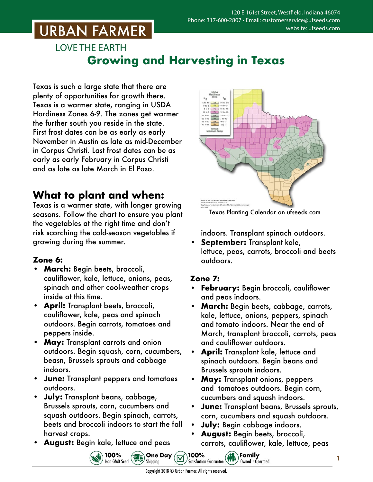# **URBAN FARMER**

## **LOVE THE EARTH Growing and Harvesting in Texas**

Texas is such a large state that there are plenty of opportunities for growth there. Texas is a warmer state, ranging in USDA Hardiness Zones 6-9. The zones get warmer the further south you reside in the state. First frost dates can be as early as early November in Austin as late as mid-December in Corpus Christi. Last frost dates can be as early as early February in Corpus Christi and as late as late March in El Paso.

## **What to plant and when:**

Texas is a warmer state, with longer growing seasons. Follow the chart to ensure you plant the vegetables at the right time and don't risk scorching the cold-season vegetables if growing during the summer.

### **Zone 6:**

- **• March:** Begin beets, broccoli, cauliflower, kale, lettuce, onions, peas, spinach and other cool-weather crops inside at this time.
- **• April:** Transplant beets, broccoli, cauliflower, kale, peas and spinach outdoors. Begin carrots, tomatoes and peppers inside.
- **• May:** Transplant carrots and onion outdoors. Begin squash, corn, cucumbers, beasn, Brussels sprouts and cabbage indoors.
- **• June:** Transplant peppers and tomatoes outdoors.
- **• July:** Transplant beans, cabbage, Brussels sprouts, corn, cucumbers and squash outdoors. Begin spinach, carrots, beets and broccoli indoors to start the fall harvest crops.

100%

Non-GMO Seed

**• August:** Begin kale, lettuce and peas



Texas Planting Calendar on [ufseeds.com](https://www.ufseeds.com/learning/planting-schedules/texas-vegetable-planting-calendar/)

indoors. Transplant spinach outdoors.

**• September:** Transplant kale, lettuce, peas, carrots, broccoli and beets outdoors.

#### **Zone 7:**

- **• February:** Begin broccoli, cauliflower and peas indoors.
- **• March:** Begin beets, cabbage, carrots, kale, lettuce, onions, peppers, spinach and tomato indoors. Near the end of March, transplant broccoli, carrots, peas and cauliflower outdoors.
- **• April:** Transplant kale, lettuce and spinach outdoors. Begin beans and Brussels sprouts indoors.
- **May:** Transplant onions, peppers and tomatoes outdoors. Begin corn, cucumbers and squash indoors.
- **• June:** Transplant beans, Brussels sprouts, corn, cucumbers and squash outdoors.
- **• July:** Begin cabbage indoors.

 $\left(\begin{matrix} \mathbf{1} \\ \mathbf{1} \\ \mathbf{1} \end{matrix}\right)$   $\begin{matrix} \mathbf{F} \\ \mathbf{G} \\ \mathbf{H} \end{matrix}$ 

**• August:** Begin beets, broccoli, carrots, cauliflower, kale, lettuce, peas

Owned +Operated

1

100%

**Satisfaction Guarantee** 

**Sales** One Day

Shipping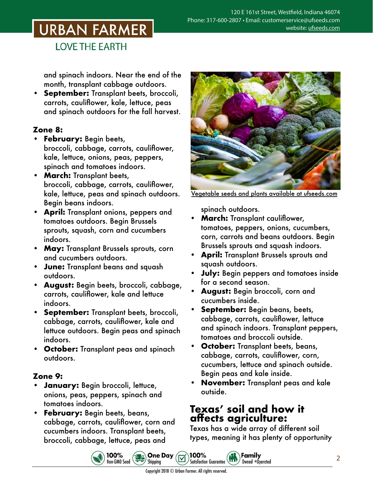# **URBAN FARMER**

**LOVE THE EARTH** 

and spinach indoors. Near the end of the month, transplant cabbage outdoors.

**• September:** Transplant beets, broccoli, carrots, cauliflower, kale, lettuce, peas and spinach outdoors for the fall harvest.

#### **Zone 8:**

- **• February:** Begin beets, broccoli, cabbage, carrots, cauliflower, kale, lettuce, onions, peas, peppers, spinach and tomatoes indoors.
- **• March:** Transplant beets, broccoli, cabbage, carrots, cauliflower, kale, lettuce, peas and spinach outdoors. Begin beans indoors.
- **• April:** Transplant onions, peppers and tomatoes outdoors. Begin Brussels sprouts, squash, corn and cucumbers indoors.
- **• May:** Transplant Brussels sprouts, corn and cucumbers outdoors.
- **• June:** Transplant beans and squash outdoors.
- **• August:** Begin beets, broccoli, cabbage, carrots, cauliflower, kale and lettuce indoors.
- **• September:** Transplant beets, broccoli, cabbage, carrots, cauliflower, kale and lettuce outdoors. Begin peas and spinach indoors.
- **• October:** Transplant peas and spinach outdoors.

#### **Zone 9:**

- **• January:** Begin broccoli, lettuce, onions, peas, peppers, spinach and tomatoes indoors.
- **• February:** Begin beets, beans, cabbage, carrots, cauliflower, corn and cucumbers indoors. Transplant beets, broccoli, cabbage, lettuce, peas and



Vegetable seeds and plants [available at ufseeds.com](https://www.ufseeds.com/vegetable-seeds-and-plants/)

spinach outdoors.

- **• March:** Transplant cauliflower, tomatoes, peppers, onions, cucumbers, corn, carrots and beans outdoors. Begin Brussels sprouts and squash indoors.
- **• April:** Transplant Brussels sprouts and squash outdoors.
- **• July:** Begin peppers and tomatoes inside for a second season.
- **• August:** Begin broccoli, corn and cucumbers inside.
- **• September:** Begin beans, beets, cabbage, carrots, cauliflower, lettuce and spinach indoors. Transplant peppers, tomatoes and broccoli outside.
- **• October:** Transplant beets, beans, cabbage, carrots, cauliflower, corn, cucumbers, lettuce and spinach outside. Begin peas and kale inside.
- **• November:** Transplant peas and kale outside.

### **Texas' soil and how it affects agriculture:**

Family

Owned +Operated

Texas has a wide array of different soil types, meaning it has plenty of opportunity



100%

**Satisfaction Guarantee** 

100%<br>Non-GM0 Seed 30-6 Shipping